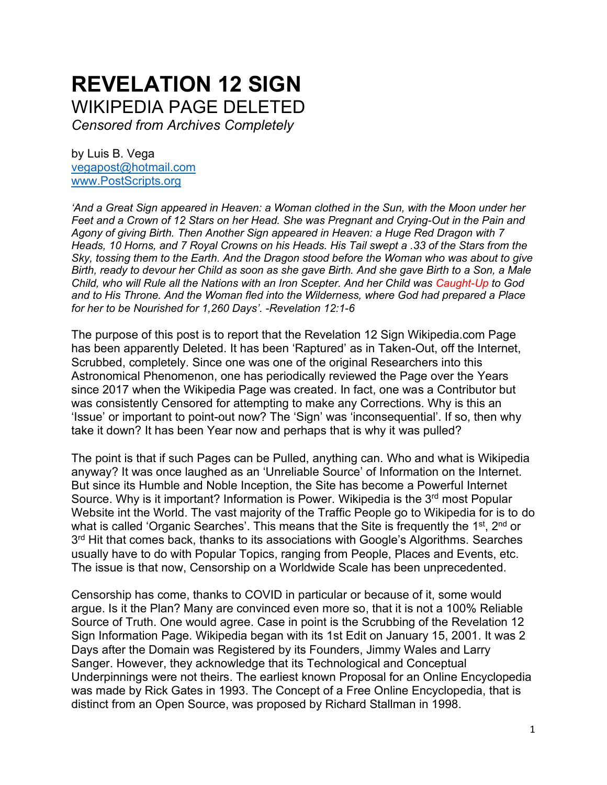# **REVELATION 12 SIGN**  WIKIPEDIA PAGE DELETED

*Censored from Archives Completely* 

by Luis B. Vega [vegapost@hotmail.com](mailto:vegapost@hotmail.com) [www.PostScripts.org](http://www.postscripts.org/)

*'And a Great Sign appeared in Heaven: a Woman clothed in the Sun, with the Moon under her Feet and a Crown of 12 Stars on her Head. She was Pregnant and Crying-Out in the Pain and Agony of giving Birth. Then Another Sign appeared in Heaven: a Huge Red Dragon with 7 Heads, 10 Horns, and 7 Royal Crowns on his Heads. His Tail swept a .33 of the Stars from the Sky, tossing them to the Earth. And the Dragon stood before the Woman who was about to give Birth, ready to devour her Child as soon as she gave Birth. And she gave Birth to a Son, a Male Child, who will Rule all the Nations with an Iron Scepter. And her Child was Caught-Up to God and to His Throne. And the Woman fled into the Wilderness, where God had prepared a Place for her to be Nourished for 1,260 Days'. -Revelation 12:1-6*

The purpose of this post is to report that the Revelation 12 Sign Wikipedia.com Page has been apparently Deleted. It has been 'Raptured' as in Taken-Out, off the Internet, Scrubbed, completely. Since one was one of the original Researchers into this Astronomical Phenomenon, one has periodically reviewed the Page over the Years since 2017 when the Wikipedia Page was created. In fact, one was a Contributor but was consistently Censored for attempting to make any Corrections. Why is this an 'Issue' or important to point-out now? The 'Sign' was 'inconsequential'. If so, then why take it down? It has been Year now and perhaps that is why it was pulled?

The point is that if such Pages can be Pulled, anything can. Who and what is Wikipedia anyway? It was once laughed as an 'Unreliable Source' of Information on the Internet. But since its Humble and Noble Inception, the Site has become a Powerful Internet Source. Why is it important? Information is Power. Wikipedia is the 3<sup>rd</sup> most Popular Website int the World. The vast majority of the Traffic People go to Wikipedia for is to do what is called 'Organic Searches'. This means that the Site is frequently the 1<sup>st</sup>, 2<sup>nd</sup> or 3<sup>rd</sup> Hit that comes back, thanks to its associations with Google's Algorithms. Searches usually have to do with Popular Topics, ranging from People, Places and Events, etc. The issue is that now, Censorship on a Worldwide Scale has been unprecedented.

Censorship has come, thanks to COVID in particular or because of it, some would argue. Is it the Plan? Many are convinced even more so, that it is not a 100% Reliable Source of Truth. One would agree. Case in point is the Scrubbing of the Revelation 12 Sign Information Page. Wikipedia began with its 1st Edit on January 15, 2001. It was 2 Days after the Domain was Registered by its Founders, Jimmy Wales and Larry Sanger. However, they acknowledge that its Technological and Conceptual Underpinnings were not theirs. The earliest known Proposal for an Online Encyclopedia was made by Rick Gates in 1993. The Concept of a Free Online Encyclopedia, that is distinct from an Open Source, was proposed by Richard Stallman in 1998.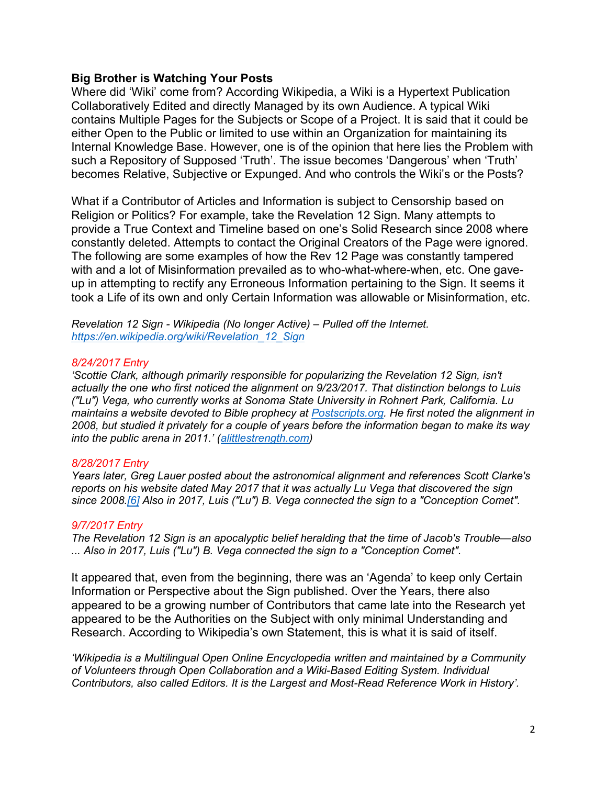## **Big Brother is Watching Your Posts**

Where did 'Wiki' come from? According Wikipedia, a Wiki is a Hypertext Publication Collaboratively Edited and directly Managed by its own Audience. A typical Wiki contains Multiple Pages for the Subjects or Scope of a Project. It is said that it could be either Open to the Public or limited to use within an Organization for maintaining its Internal Knowledge Base. However, one is of the opinion that here lies the Problem with such a Repository of Supposed 'Truth'. The issue becomes 'Dangerous' when 'Truth' becomes Relative, Subjective or Expunged. And who controls the Wiki's or the Posts?

What if a Contributor of Articles and Information is subject to Censorship based on Religion or Politics? For example, take the Revelation 12 Sign. Many attempts to provide a True Context and Timeline based on one's Solid Research since 2008 where constantly deleted. Attempts to contact the Original Creators of the Page were ignored. The following are some examples of how the Rev 12 Page was constantly tampered with and a lot of Misinformation prevailed as to who-what-where-when, etc. One gaveup in attempting to rectify any Erroneous Information pertaining to the Sign. It seems it took a Life of its own and only Certain Information was allowable or Misinformation, etc.

*Revelation 12 Sign - Wikipedia (No longer Active) – Pulled off the Internet. [https://en.wikipedia.org/wiki/Revelation\\_12\\_Sign](https://en.wikipedia.org/wiki/Revelation_12_Sign)*

### *8/24/2017 Entry*

'Scottie Clark, although primarily responsible for popularizing the Revelation 12 Sign, isn't *actually the one who first noticed the alignment on 9/23/2017. That distinction belongs to Luis ("Lu") Vega, who currently works at Sonoma State University in Rohnert Park, California. Lu maintains a website devoted to Bible prophecy at [Postscripts.org.](http://www.postscripts.org/) He first noted the alignment in 2008, but studied it privately for a couple of years before the information began to make its way into the public arena in 2011.' ([alittlestrength.com\)](http://www.alittlestrength.com/articles/2017/1705-exit-sign.htm)*

## *8/28/2017 Entry*

*Years later, Greg Lauer posted about the astronomical alignment and references Scott Clarke's reports on his website dated May 2017 that it was actually Lu Vega that discovered the sign since 2008[.\[6\]](file:///C:/Users/Pavilion/Desktop/Posts/Articles-Charts/CHARTS/Virgo/web/Revelation%2012%20Sign%20-%20Wikipedia-2.htm%23cite_note-ALittleStrength-6) Also in 2017, Luis ("Lu") B. Vega connected the sign to a "Conception Comet".*

### *9/7/2017 Entry*

*The Revelation 12 Sign is an apocalyptic belief heralding that the time of Jacob's Trouble—also ... Also in 2017, Luis ("Lu") B. Vega connected the sign to a "Conception Comet".* 

It appeared that, even from the beginning, there was an 'Agenda' to keep only Certain Information or Perspective about the Sign published. Over the Years, there also appeared to be a growing number of Contributors that came late into the Research yet appeared to be the Authorities on the Subject with only minimal Understanding and Research. According to Wikipedia's own Statement, this is what it is said of itself.

*'Wikipedia is a Multilingual Open Online Encyclopedia written and maintained by a Community of Volunteers through Open Collaboration and a Wiki-Based Editing System. Individual Contributors, also called Editors. It is the Largest and Most-Read Reference Work in History'.*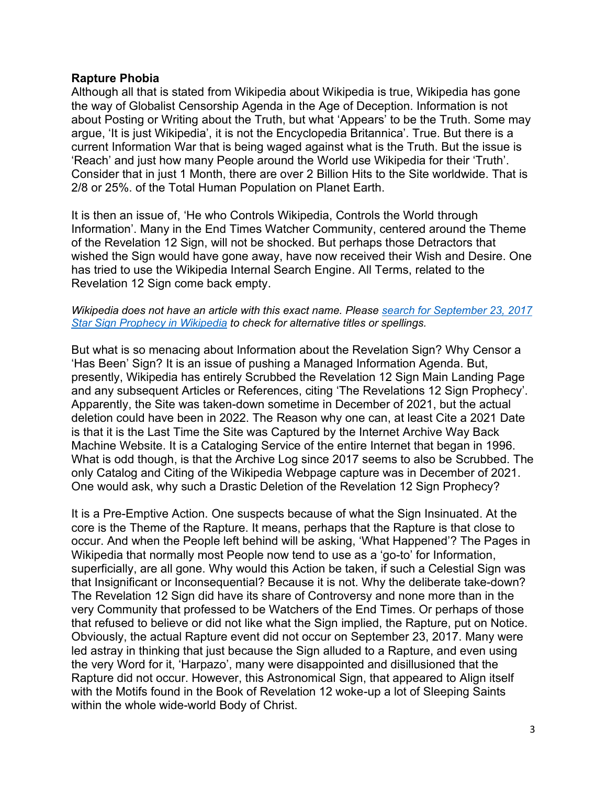## **Rapture Phobia**

Although all that is stated from Wikipedia about Wikipedia is true, Wikipedia has gone the way of Globalist Censorship Agenda in the Age of Deception. Information is not about Posting or Writing about the Truth, but what 'Appears' to be the Truth. Some may argue, 'It is just Wikipedia', it is not the Encyclopedia Britannica'. True. But there is a current Information War that is being waged against what is the Truth. But the issue is 'Reach' and just how many People around the World use Wikipedia for their 'Truth'. Consider that in just 1 Month, there are over 2 Billion Hits to the Site worldwide. That is 2/8 or 25%. of the Total Human Population on Planet Earth.

It is then an issue of, 'He who Controls Wikipedia, Controls the World through Information'. Many in the End Times Watcher Community, centered around the Theme of the Revelation 12 Sign, will not be shocked. But perhaps those Detractors that wished the Sign would have gone away, have now received their Wish and Desire. One has tried to use the Wikipedia Internal Search Engine. All Terms, related to the Revelation 12 Sign come back empty.

#### *Wikipedia does not have an article with this exact name. Please [search for September 23, 2017](https://en.wikipedia.org/w/index.php?search=September+23%2C+2017+star+sign+prophecy&title=Special%3ASearch&fulltext=1)  [Star Sign Prophecy in Wikipedia](https://en.wikipedia.org/w/index.php?search=September+23%2C+2017+star+sign+prophecy&title=Special%3ASearch&fulltext=1) to check for alternative titles or spellings.*

But what is so menacing about Information about the Revelation Sign? Why Censor a 'Has Been' Sign? It is an issue of pushing a Managed Information Agenda. But, presently, Wikipedia has entirely Scrubbed the Revelation 12 Sign Main Landing Page and any subsequent Articles or References, citing 'The Revelations 12 Sign Prophecy'. Apparently, the Site was taken-down sometime in December of 2021, but the actual deletion could have been in 2022. The Reason why one can, at least Cite a 2021 Date is that it is the Last Time the Site was Captured by the Internet Archive Way Back Machine Website. It is a Cataloging Service of the entire Internet that began in 1996. What is odd though, is that the Archive Log since 2017 seems to also be Scrubbed. The only Catalog and Citing of the Wikipedia Webpage capture was in December of 2021. One would ask, why such a Drastic Deletion of the Revelation 12 Sign Prophecy?

It is a Pre-Emptive Action. One suspects because of what the Sign Insinuated. At the core is the Theme of the Rapture. It means, perhaps that the Rapture is that close to occur. And when the People left behind will be asking, 'What Happened'? The Pages in Wikipedia that normally most People now tend to use as a 'go-to' for Information, superficially, are all gone. Why would this Action be taken, if such a Celestial Sign was that Insignificant or Inconsequential? Because it is not. Why the deliberate take-down? The Revelation 12 Sign did have its share of Controversy and none more than in the very Community that professed to be Watchers of the End Times. Or perhaps of those that refused to believe or did not like what the Sign implied, the Rapture, put on Notice. Obviously, the actual Rapture event did not occur on September 23, 2017. Many were led astray in thinking that just because the Sign alluded to a Rapture, and even using the very Word for it, 'Harpazo', many were disappointed and disillusioned that the Rapture did not occur. However, this Astronomical Sign, that appeared to Align itself with the Motifs found in the Book of Revelation 12 woke-up a lot of Sleeping Saints within the whole wide-world Body of Christ.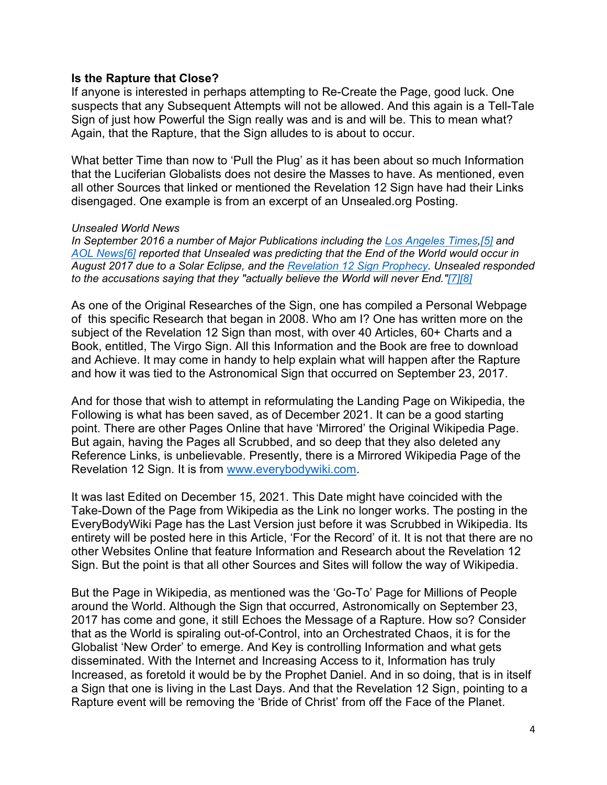## **Is the Rapture that Close?**

If anyone is interested in perhaps attempting to Re-Create the Page, good luck. One suspects that any Subsequent Attempts will not be allowed. And this again is a Tell-Tale Sign of just how Powerful the Sign really was and is and will be. This to mean what? Again, that the Rapture, that the Sign alludes to is about to occur.

What better Time than now to 'Pull the Plug' as it has been about so much Information that the Luciferian Globalists does not desire the Masses to have. As mentioned, even all other Sources that linked or mentioned the Revelation 12 Sign have had their Links disengaged. One example is from an excerpt of an Unsealed.org Posting.

#### *Unsealed World News*

*In September 2016 a number of Major Publications including the [Los Angeles Times](https://en.wikipedia.org/wiki/Los_Angeles_Times)[,\[5\]](https://en.wikipedia.org/wiki/Unsealed_World_News#cite_note-Los_Angeles_Times_22September2016-5) and [AOL News](https://en.wikipedia.org/wiki/AOL_News)[\[6\]](https://en.wikipedia.org/wiki/Unsealed_World_News#cite_note-AOL_News_6September2016-6) reported that Unsealed was predicting that the End of the World would occur in August 2017 due to a Solar Eclipse, and the [Revelation 12 Sign Prophecy.](https://en.wikipedia.org/w/index.php?title=Revelation_12_sign_prophecy&action=edit&redlink=1) Unsealed responded to the accusations saying that they "actually believe the World will never End.["\[7\]](https://en.wikipedia.org/wiki/Unsealed_World_News#cite_note-Unsealed_World_News_7September2016-7)[\[8\]](https://en.wikipedia.org/wiki/Unsealed_World_News#cite_note-8)*

As one of the Original Researches of the Sign, one has compiled a Personal Webpage of this specific Research that began in 2008. Who am I? One has written more on the subject of the Revelation 12 Sign than most, with over 40 Articles, 60+ Charts and a Book, entitled, The Virgo Sign. All this Information and the Book are free to download and Achieve. It may come in handy to help explain what will happen after the Rapture and how it was tied to the Astronomical Sign that occurred on September 23, 2017.

And for those that wish to attempt in reformulating the Landing Page on Wikipedia, the Following is what has been saved, as of December 2021. It can be a good starting point. There are other Pages Online that have 'Mirrored' the Original Wikipedia Page. But again, having the Pages all Scrubbed, and so deep that they also deleted any Reference Links, is unbelievable. Presently, there is a Mirrored Wikipedia Page of the Revelation 12 Sign. It is from [www.everybodywiki.com.](http://www.everybodywiki.com/)

It was last Edited on December 15, 2021. This Date might have coincided with the Take-Down of the Page from Wikipedia as the Link no longer works. The posting in the EveryBodyWiki Page has the Last Version just before it was Scrubbed in Wikipedia. Its entirety will be posted here in this Article, 'For the Record' of it. It is not that there are no other Websites Online that feature Information and Research about the Revelation 12 Sign. But the point is that all other Sources and Sites will follow the way of Wikipedia.

But the Page in Wikipedia, as mentioned was the 'Go-To' Page for Millions of People around the World. Although the Sign that occurred, Astronomically on September 23, 2017 has come and gone, it still Echoes the Message of a Rapture. How so? Consider that as the World is spiraling out-of-Control, into an Orchestrated Chaos, it is for the Globalist 'New Order' to emerge. And Key is controlling Information and what gets disseminated. With the Internet and Increasing Access to it, Information has truly Increased, as foretold it would be by the Prophet Daniel. And in so doing, that is in itself a Sign that one is living in the Last Days. And that the Revelation 12 Sign, pointing to a Rapture event will be removing the 'Bride of Christ' from off the Face of the Planet.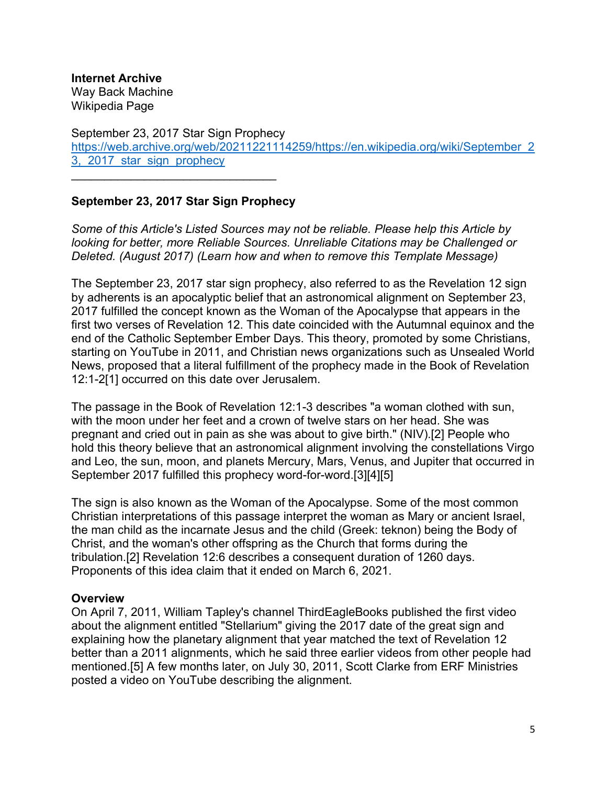**Internet Archive**

Way Back Machine Wikipedia Page

September 23, 2017 Star Sign Prophecy [https://web.archive.org/web/20211221114259/https://en.wikipedia.org/wiki/September\\_2](https://web.archive.org/web/20211221114259/https:/en.wikipedia.org/wiki/September_23,_2017_star_sign_prophecy) [3,\\_2017\\_star\\_sign\\_prophecy](https://web.archive.org/web/20211221114259/https:/en.wikipedia.org/wiki/September_23,_2017_star_sign_prophecy)

# **September 23, 2017 Star Sign Prophecy**

 $\mathcal{L}_\text{max}$  , and the set of the set of the set of the set of the set of the set of the set of the set of the set of the set of the set of the set of the set of the set of the set of the set of the set of the set of the

*Some of this Article's Listed Sources may not be reliable. Please help this Article by looking for better, more Reliable Sources. Unreliable Citations may be Challenged or Deleted. (August 2017) (Learn how and when to remove this Template Message)*

The September 23, 2017 star sign prophecy, also referred to as the Revelation 12 sign by adherents is an apocalyptic belief that an astronomical alignment on September 23, 2017 fulfilled the concept known as the Woman of the Apocalypse that appears in the first two verses of Revelation 12. This date coincided with the Autumnal equinox and the end of the Catholic September Ember Days. This theory, promoted by some Christians, starting on YouTube in 2011, and Christian news organizations such as Unsealed World News, proposed that a literal fulfillment of the prophecy made in the Book of Revelation 12:1-2[1] occurred on this date over Jerusalem.

The passage in the Book of Revelation 12:1-3 describes "a woman clothed with sun, with the moon under her feet and a crown of twelve stars on her head. She was pregnant and cried out in pain as she was about to give birth." (NIV).[2] People who hold this theory believe that an astronomical alignment involving the constellations Virgo and Leo, the sun, moon, and planets Mercury, Mars, Venus, and Jupiter that occurred in September 2017 fulfilled this prophecy word-for-word.[3][4][5]

The sign is also known as the Woman of the Apocalypse. Some of the most common Christian interpretations of this passage interpret the woman as Mary or ancient Israel, the man child as the incarnate Jesus and the child (Greek: teknon) being the Body of Christ, and the woman's other offspring as the Church that forms during the tribulation.[2] Revelation 12:6 describes a consequent duration of 1260 days. Proponents of this idea claim that it ended on March 6, 2021.

## **Overview**

On April 7, 2011, William Tapley's channel ThirdEagleBooks published the first video about the alignment entitled "Stellarium" giving the 2017 date of the great sign and explaining how the planetary alignment that year matched the text of Revelation 12 better than a 2011 alignments, which he said three earlier videos from other people had mentioned.[5] A few months later, on July 30, 2011, Scott Clarke from ERF Ministries posted a video on YouTube describing the alignment.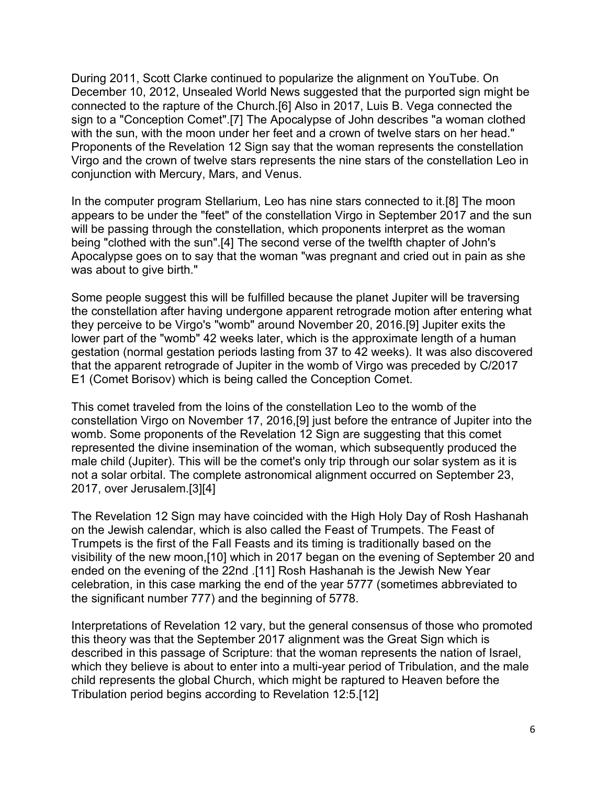During 2011, Scott Clarke continued to popularize the alignment on YouTube. On December 10, 2012, Unsealed World News suggested that the purported sign might be connected to the rapture of the Church.[6] Also in 2017, Luis B. Vega connected the sign to a "Conception Comet".[7] The Apocalypse of John describes "a woman clothed with the sun, with the moon under her feet and a crown of twelve stars on her head." Proponents of the Revelation 12 Sign say that the woman represents the constellation Virgo and the crown of twelve stars represents the nine stars of the constellation Leo in conjunction with Mercury, Mars, and Venus.

In the computer program Stellarium, Leo has nine stars connected to it.[8] The moon appears to be under the "feet" of the constellation Virgo in September 2017 and the sun will be passing through the constellation, which proponents interpret as the woman being "clothed with the sun".[4] The second verse of the twelfth chapter of John's Apocalypse goes on to say that the woman "was pregnant and cried out in pain as she was about to give birth."

Some people suggest this will be fulfilled because the planet Jupiter will be traversing the constellation after having undergone apparent retrograde motion after entering what they perceive to be Virgo's "womb" around November 20, 2016.[9] Jupiter exits the lower part of the "womb" 42 weeks later, which is the approximate length of a human gestation (normal gestation periods lasting from 37 to 42 weeks). It was also discovered that the apparent retrograde of Jupiter in the womb of Virgo was preceded by C/2017 E1 (Comet Borisov) which is being called the Conception Comet.

This comet traveled from the loins of the constellation Leo to the womb of the constellation Virgo on November 17, 2016,[9] just before the entrance of Jupiter into the womb. Some proponents of the Revelation 12 Sign are suggesting that this comet represented the divine insemination of the woman, which subsequently produced the male child (Jupiter). This will be the comet's only trip through our solar system as it is not a solar orbital. The complete astronomical alignment occurred on September 23, 2017, over Jerusalem.[3][4]

The Revelation 12 Sign may have coincided with the High Holy Day of Rosh Hashanah on the Jewish calendar, which is also called the Feast of Trumpets. The Feast of Trumpets is the first of the Fall Feasts and its timing is traditionally based on the visibility of the new moon,[10] which in 2017 began on the evening of September 20 and ended on the evening of the 22nd .[11] Rosh Hashanah is the Jewish New Year celebration, in this case marking the end of the year 5777 (sometimes abbreviated to the significant number 777) and the beginning of 5778.

Interpretations of Revelation 12 vary, but the general consensus of those who promoted this theory was that the September 2017 alignment was the Great Sign which is described in this passage of Scripture: that the woman represents the nation of Israel, which they believe is about to enter into a multi-year period of Tribulation, and the male child represents the global Church, which might be raptured to Heaven before the Tribulation period begins according to Revelation 12:5.[12]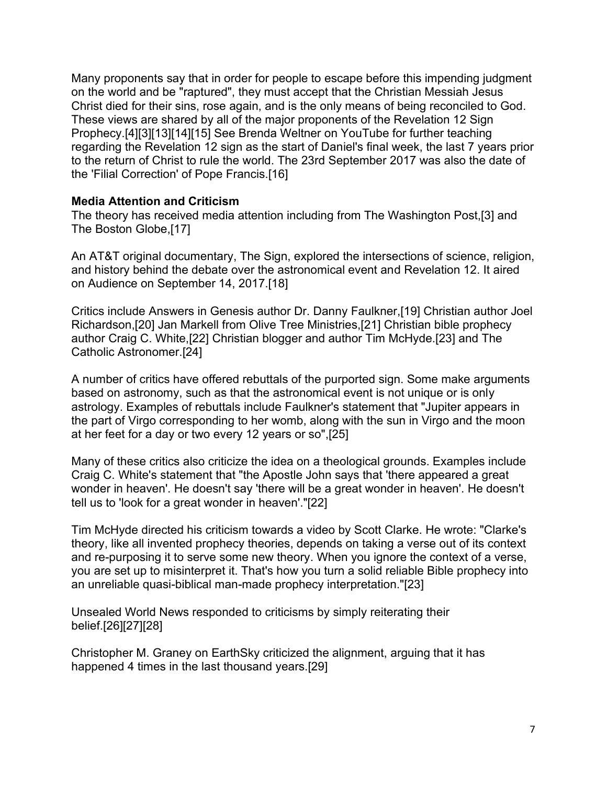Many proponents say that in order for people to escape before this impending judgment on the world and be "raptured", they must accept that the Christian Messiah Jesus Christ died for their sins, rose again, and is the only means of being reconciled to God. These views are shared by all of the major proponents of the Revelation 12 Sign Prophecy.[4][3][13][14][15] See Brenda Weltner on YouTube for further teaching regarding the Revelation 12 sign as the start of Daniel's final week, the last 7 years prior to the return of Christ to rule the world. The 23rd September 2017 was also the date of the 'Filial Correction' of Pope Francis.[16]

## **Media Attention and Criticism**

The theory has received media attention including from The Washington Post,[3] and The Boston Globe,[17]

An AT&T original documentary, The Sign, explored the intersections of science, religion, and history behind the debate over the astronomical event and Revelation 12. It aired on Audience on September 14, 2017.[18]

Critics include Answers in Genesis author Dr. Danny Faulkner,[19] Christian author Joel Richardson,[20] Jan Markell from Olive Tree Ministries,[21] Christian bible prophecy author Craig C. White,[22] Christian blogger and author Tim McHyde.[23] and The Catholic Astronomer.[24]

A number of critics have offered rebuttals of the purported sign. Some make arguments based on astronomy, such as that the astronomical event is not unique or is only astrology. Examples of rebuttals include Faulkner's statement that "Jupiter appears in the part of Virgo corresponding to her womb, along with the sun in Virgo and the moon at her feet for a day or two every 12 years or so",[25]

Many of these critics also criticize the idea on a theological grounds. Examples include Craig C. White's statement that "the Apostle John says that 'there appeared a great wonder in heaven'. He doesn't say 'there will be a great wonder in heaven'. He doesn't tell us to 'look for a great wonder in heaven'."[22]

Tim McHyde directed his criticism towards a video by Scott Clarke. He wrote: "Clarke's theory, like all invented prophecy theories, depends on taking a verse out of its context and re-purposing it to serve some new theory. When you ignore the context of a verse, you are set up to misinterpret it. That's how you turn a solid reliable Bible prophecy into an unreliable quasi-biblical man-made prophecy interpretation."[23]

Unsealed World News responded to criticisms by simply reiterating their belief.[26][27][28]

Christopher M. Graney on EarthSky criticized the alignment, arguing that it has happened 4 times in the last thousand years.[29]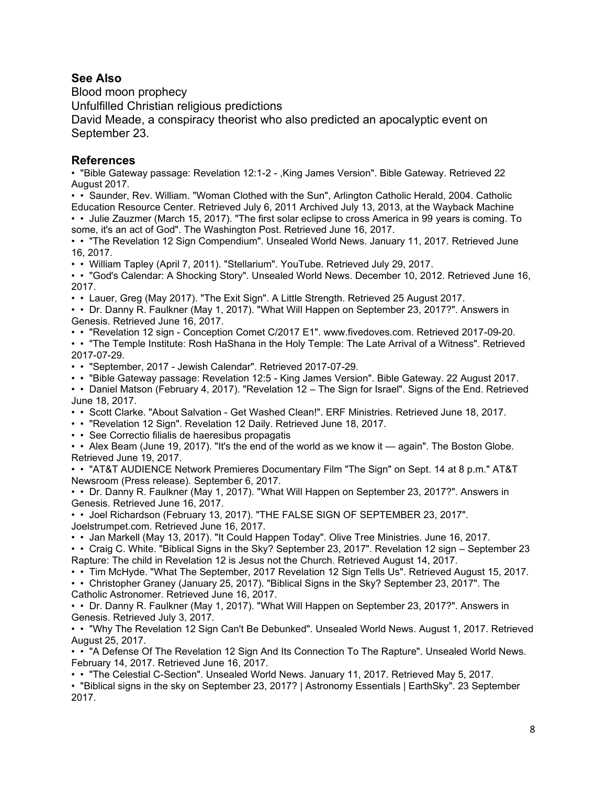## **See Also**

Blood moon prophecy

Unfulfilled Christian religious predictions

David Meade, a conspiracy theorist who also predicted an apocalyptic event on September 23.

## **References**

• "Bible Gateway passage: Revelation 12:1-2 - ,King James Version". Bible Gateway. Retrieved 22 August 2017.

• • Saunder, Rev. William. "Woman Clothed with the Sun", Arlington Catholic Herald, 2004. Catholic Education Resource Center. Retrieved July 6, 2011 Archived July 13, 2013, at the Wayback Machine • • Julie Zauzmer (March 15, 2017). "The first solar eclipse to cross America in 99 years is coming. To

some, it's an act of God". The Washington Post. Retrieved June 16, 2017.

• • "The Revelation 12 Sign Compendium". Unsealed World News. January 11, 2017. Retrieved June 16, 2017.

• • William Tapley (April 7, 2011). "Stellarium". YouTube. Retrieved July 29, 2017.

• • "God's Calendar: A Shocking Story". Unsealed World News. December 10, 2012. Retrieved June 16, 2017.

• • Lauer, Greg (May 2017). "The Exit Sign". A Little Strength. Retrieved 25 August 2017.

• • Dr. Danny R. Faulkner (May 1, 2017). "What Will Happen on September 23, 2017?". Answers in Genesis. Retrieved June 16, 2017.

• • "Revelation 12 sign - Conception Comet C/2017 E1". www.fivedoves.com. Retrieved 2017-09-20. • • "The Temple Institute: Rosh HaShana in the Holy Temple: The Late Arrival of a Witness". Retrieved 2017-07-29.

• • "September, 2017 - Jewish Calendar". Retrieved 2017-07-29.

• • "Bible Gateway passage: Revelation 12:5 - King James Version". Bible Gateway. 22 August 2017.

• • Daniel Matson (February 4, 2017). "Revelation 12 – The Sign for Israel". Signs of the End. Retrieved June 18, 2017.

• • Scott Clarke. "About Salvation - Get Washed Clean!". ERF Ministries. Retrieved June 18, 2017.

• • "Revelation 12 Sign". Revelation 12 Daily. Retrieved June 18, 2017.

• • See Correctio filialis de haeresibus propagatis

• • Alex Beam (June 19, 2017). "It's the end of the world as we know it — again". The Boston Globe. Retrieved June 19, 2017.

• • "AT&T AUDIENCE Network Premieres Documentary Film "The Sign" on Sept. 14 at 8 p.m." AT&T Newsroom (Press release). September 6, 2017.

• • Dr. Danny R. Faulkner (May 1, 2017). "What Will Happen on September 23, 2017?". Answers in Genesis. Retrieved June 16, 2017.

• • Joel Richardson (February 13, 2017). "THE FALSE SIGN OF SEPTEMBER 23, 2017". Joelstrumpet.com. Retrieved June 16, 2017.

• • Jan Markell (May 13, 2017). "It Could Happen Today". Olive Tree Ministries. June 16, 2017.

• • Craig C. White. "Biblical Signs in the Sky? September 23, 2017". Revelation 12 sign – September 23 Rapture: The child in Revelation 12 is Jesus not the Church. Retrieved August 14, 2017.

• • Tim McHyde. "What The September, 2017 Revelation 12 Sign Tells Us". Retrieved August 15, 2017.

• • Christopher Graney (January 25, 2017). "Biblical Signs in the Sky? September 23, 2017". The

Catholic Astronomer. Retrieved June 16, 2017.

• • Dr. Danny R. Faulkner (May 1, 2017). "What Will Happen on September 23, 2017?". Answers in Genesis. Retrieved July 3, 2017.

• • "Why The Revelation 12 Sign Can't Be Debunked". Unsealed World News. August 1, 2017. Retrieved August 25, 2017.

• • "A Defense Of The Revelation 12 Sign And Its Connection To The Rapture". Unsealed World News. February 14, 2017. Retrieved June 16, 2017.

• • "The Celestial C-Section". Unsealed World News. January 11, 2017. Retrieved May 5, 2017.

• "Biblical signs in the sky on September 23, 2017? | Astronomy Essentials | EarthSky". 23 September 2017.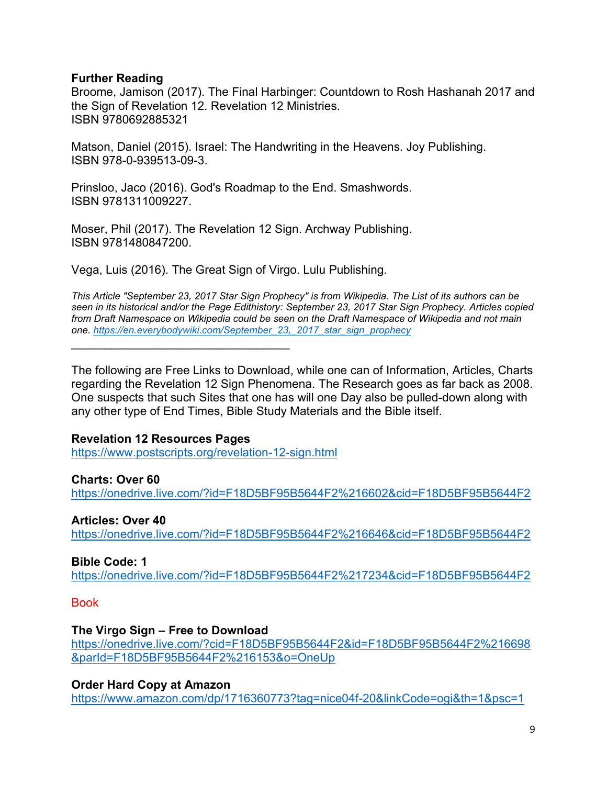## **Further Reading**

Broome, Jamison (2017). The Final Harbinger: Countdown to Rosh Hashanah 2017 and the Sign of Revelation 12. Revelation 12 Ministries. ISBN 9780692885321

Matson, Daniel (2015). Israel: The Handwriting in the Heavens. Joy Publishing. ISBN 978-0-939513-09-3.

Prinsloo, Jaco (2016). God's Roadmap to the End. Smashwords. ISBN 9781311009227.

Moser, Phil (2017). The Revelation 12 Sign. Archway Publishing. ISBN 9781480847200.

Vega, Luis (2016). The Great Sign of Virgo. Lulu Publishing.

*This Article "September 23, 2017 Star Sign Prophecy" is from Wikipedia. The List of its authors can be seen in its historical and/or the Page Edithistory: September 23, 2017 Star Sign Prophecy. Articles copied from Draft Namespace on Wikipedia could be seen on the Draft Namespace of Wikipedia and not main one. [https://en.everybodywiki.com/September\\_23,\\_2017\\_star\\_sign\\_prophecy](https://en.everybodywiki.com/September_23,_2017_star_sign_prophecy)*

The following are Free Links to Download, while one can of Information, Articles, Charts regarding the Revelation 12 Sign Phenomena. The Research goes as far back as 2008. One suspects that such Sites that one has will one Day also be pulled-down along with any other type of End Times, Bible Study Materials and the Bible itself.

## **Revelation 12 Resources Pages**

 $\mathcal{L}_\text{max}$  , and the contract of the contract of the contract of the contract of the contract of the contract of the contract of the contract of the contract of the contract of the contract of the contract of the contr

<https://www.postscripts.org/revelation-12-sign.html>

## **Charts: Over 60**

<https://onedrive.live.com/?id=F18D5BF95B5644F2%216602&cid=F18D5BF95B5644F2>

## **Articles: Over 40**

<https://onedrive.live.com/?id=F18D5BF95B5644F2%216646&cid=F18D5BF95B5644F2>

## **Bible Code: 1**

<https://onedrive.live.com/?id=F18D5BF95B5644F2%217234&cid=F18D5BF95B5644F2>

### **Book**

## **The Virgo Sign – Free to Download**

[https://onedrive.live.com/?cid=F18D5BF95B5644F2&id=F18D5BF95B5644F2%216698](https://onedrive.live.com/?cid=F18D5BF95B5644F2&id=F18D5BF95B5644F2%216698&parId=F18D5BF95B5644F2%216153&o=OneUp) [&parId=F18D5BF95B5644F2%216153&o=OneUp](https://onedrive.live.com/?cid=F18D5BF95B5644F2&id=F18D5BF95B5644F2%216698&parId=F18D5BF95B5644F2%216153&o=OneUp)

## **Order Hard Copy at Amazon**

<https://www.amazon.com/dp/1716360773?tag=nice04f-20&linkCode=ogi&th=1&psc=1>